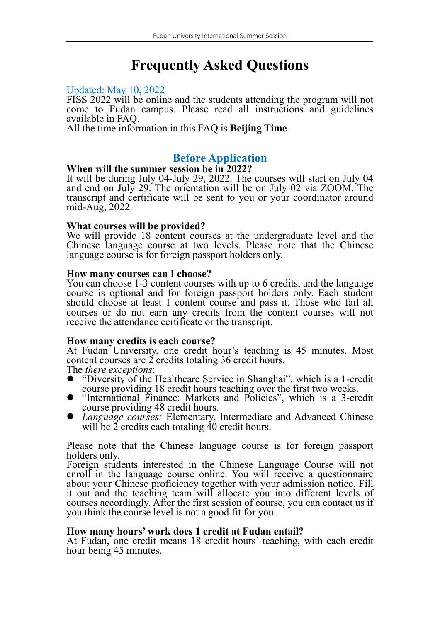# **Frequently Asked Questions**

#### Updated: May 10, 2022

FISS 2022 will be online and the students attending the program will not come to Fudan campus. Please read all instructions and guidelines

All the time information in this FAQ is **Beijing Time**.

# **Before Application**

#### **When will the summer session be in 2022?**

It will be during July 04-July 29, 2022. The courses will start on July 04 and end on July 29. The orientation will be on July 02 via ZOOM. The transcript and certificate will be sent to you or your coordinator around mid-Aug, 2022.

#### **What courses will be provided?**

We will provide 18 content courses at the undergraduate level and the Chinese language course at two levels. Please note that the Chinese language course is for foreign passport holders only.

#### **How many courses can I choose?**

You can choose 1-3 content courses with up to 6 credits, and the language course is optional and for foreign passport holders only. Each student should choose at least 1 content course and pass it. Those who fail all courses or do not earn any credits from the content courses will not receive the attendance certificate or the transcript.

#### **How many credits is each course?**

At Fudan University, one credit hour's teaching is 45 minutes. Most content courses are <sup>2</sup> credits totaling <sup>36</sup> credit hours. The *there exceptions*:

- "Diversity of the Healthcare Service in Shanghai", which is a 1-credit
- "International Finance: Markets and Policies", which is a 3-credit course providing 48 credit hours.
- $\bullet$  *Language courses:* Elementary, Intermediate and Advanced Chinese will be 2 credits each totaling 40 credit hours.

Please note that the Chinese language course is for foreign passport

Foreign students interested in the Chinese Language Course will not enroll in the language course online. You will receive a questionnaire about your Chinese proficiency together with your admission notice. Fill it out and the teaching team will allocate you into different levels of courses accordingly. After the first session of course, you can contact us if you think the course level is not a good fit for you.

### **How many hours' work does 1 credit at Fudan entail?**

At Fudan, one credit means 18 credit hours' teaching, with each credit hour being 45 minutes.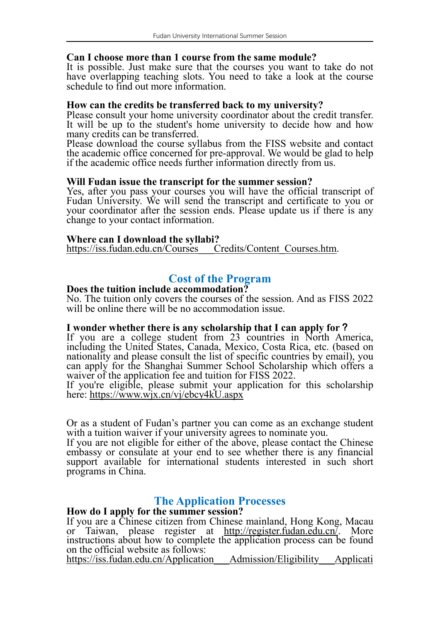#### **Can I choose more than 1 course from the same module?**

It is possible. Just make sure that the courses you want to take do not have overlapping teaching slots. You need to take a look at the course schedule to find out more information.

**How can the credits be transferred back tomy university?** It will be up to the student's home university to decide how and how many credits can be transferred.

Please download the course syllabus from the FISS website and contact the academic office concerned for pre-approval. We would be glad to help if the academic office needs further information directly from us.

#### **Will Fudan issue the transcript for the summer session?**

Yes, after you pass your courses you will have the official transcript of Fudan University. We will send the transcript and certificate to you or your coordinator after the session ends. Please update us if there is any change to your contact information.

#### **Where can I download the syllabi?**

[https://iss.fudan.edu.cn/Courses\\_\\_\\_Credits/Content\\_Courses.htm.](https://iss.fudan.edu.cn/Courses___Credits/Content_Courses.htm)

# **Cost of the Program**

#### **Does the tuition include accommodation?**

No. The tuition only covers the courses of the session. And as FISS 2022 will be online there will be no accommodation issue.

#### **I wonder whether there is any scholarship that I can apply for?**

If you are <sup>a</sup> college student from <sup>23</sup> countries in North America, including the United States, Canada, Mexico, Costa Rica, etc. (based on nationality and please consult the list of specific countries by email), you can apply for the Shanghai Summer School Scholarship which offers a waiver of the application fee and tuition for FISS 2022.

If you're eligible, please submit your application for this scholarship here: <https://www.wjx.cn/vj/ebcy4kU.aspx>

Or as a student of Fudan's partner you can come as an exchange student with a tuition waiver if your university agrees to nominate you.

If you are not eligible for either of the above, please contact the Chinese embassy or consulate at your end to see whether there is any financial support available for international students interested in such short programs in China.

# **The Application Processes**

## **How do I apply for the summer session?**

If you are a Chinese citizen from Chinese mainland, Hong Kong, Macau or Taiwan, please register at <http://register.fudan.edu.cn/>. More instructions about how to complete the application process can be found on the official website as follows:

https://iss.fudan.edu.cn/Application\_\_\_Admission/Eligibility\_\_\_Applicati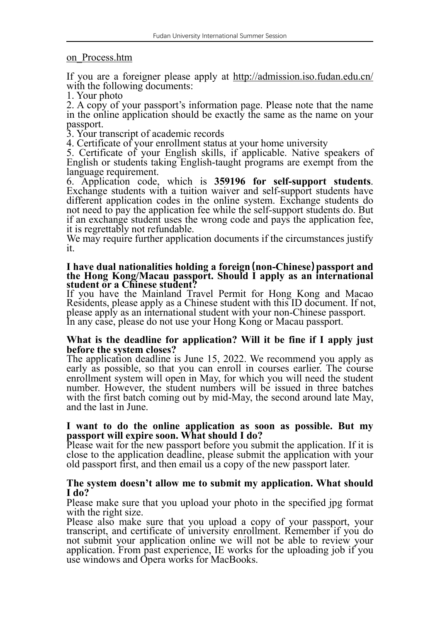#### on\_Process.htm

If you are a foreigner please apply at <http://admission.iso.fudan.edu.cn/> with the following documents:

1. Your photo

2. A copy of your passport's information page. Please note that the name in the online application should be exactly the same as the name on your passport. 3. Your transcript of academic records

4. Certificate of your enrollment status at your home university

5. Certificate of your English skills, if applicable. Native speakers of English or students taking English-taught programs are exempt from the

language requirement. 6. Application code, which is **<sup>359196</sup> for self-support students**. Exchange students with <sup>a</sup> tuition waiver and self-support students have different application codes in the online system. Exchange students do not need to pay the application fee while the self-support students do. But if an exchange student uses the wrong code and pays the application fee, it is regrettably not refundable. We may require further application documents if the circumstances justify it

it.

#### **I have dual nationalities holding a foreign(non-Chinese)passport and the Hong Kong/Macau passport. Should I apply as an international student or a Chinese student?**

If you have the Mainland Travel Permit for Hong Kong and Macao Residents, please apply as a Chinese student with this ID document. If not, please apply as an international student with your non-Chinese passport. In any case, please do not use your Hong Kong or Macau passport.

#### **What is the deadline for application? Will itbe fine if I apply just before the system closes?**

The application deadline is June 15, 2022. We recommend you apply as early as possible, so that you can enroll in courses earlier. The course enrollment system will open in May, for which you will need the student number. However, the student numbers will be issued in three batches with the first batch coming out by mid-May, the second around late May, and the last in June.

#### **I want to do the online application as soon as possible. But my passport will expire soon. What should I do?**

Please wait for the new passport before you submit the application. If it is close to the application deadline, please submit the application with your old passport first, and then email us a copy of the new passport later.

#### **The system doesn't allow me to submit my application. What should I do?**

Please make sure that you upload your photo in the specified jpg format

with the right size.<br>Please also make sure that you upload a copy of your passport, your transcript, and certificate of university enrollment. Remember if you do not submit your application online we will not be able to review your application. From past experience, IE works for the uploading job if you use windows and Opera works for MacBooks.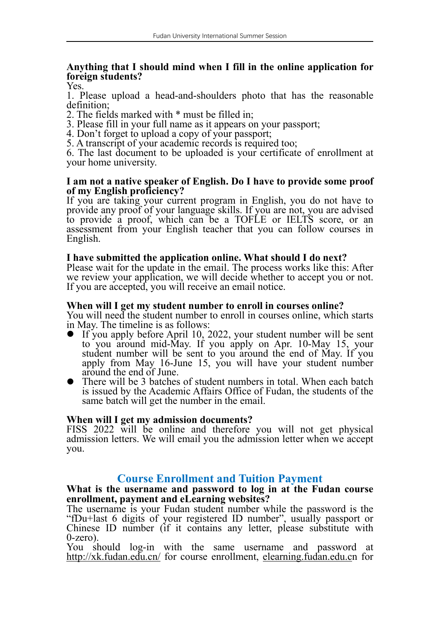# **Anything that I should mind when I fill in the online application for foreign students?**

1. Please upload a head-and-shoulders photo that has the reasonable definition;

2. The fields marked with \* must be filled in;

3. Please fill in your full name as it appears on your passport;

4. Don't forget to upload a copy of your passport;

5. A transcript of your academic records is required too;

6. The last document to be uploaded is your certificate of enrollment at your home university.

#### **I am not a native speaker of English. Do I have to provide some proof of my English proficiency?**

If you are taking your current program in English, you do not have to provide any proof of your language skills. If you are not, you are advised to provide a proof, which can be a TOFLE or IELTS score, or an assessment from your English teacher that you can follow courses in English.

#### **I have submitted the application online. What should I do next?**

Please wait for the update in the email. The process works like this: After we review your application, we will decide whether to accept you or not. If you are accepted, you will receive an email notice.

#### **When will I get my student number to enroll in courses online?**

You will need the student number to enroll in courses online, which starts in May. The timeline is as follows:

- If you apply before April 10, 2022, your student number will be sent to you around mid-May. If you apply on Apr. 10-May 15, your student number will be sent to you around the end of May. If you apply from May 16-June 15, you will have your student number around the end of June.
- There will be 3 batches of student numbers in total. When each batch is issued by the Academic Affairs Office of Fudan, the students of the same batch will get the number in the email.

### **When will I get my admission documents?**

FISS 2022 will be online and therefore you will not get physical admission letters. We will email you the admission letter when we accept you.

# **Course Enrollment and Tuition Payment**

#### **What is the username and password to log in at the Fudan course enrollment, payment and eLearning websites?**

The username is your Fudan student number while the password is the "fDu+last 6 digits of your registered ID number", usually passport or Chinese ID number (if it contains any letter, please substitute with

0-zero). You should log-in with the same username and password at [http://xk.fudan.edu.cn/](http://xk.fudan.edu.cn/en_xk/login.action) for course enrollment, elearning.fudan.edu.cn for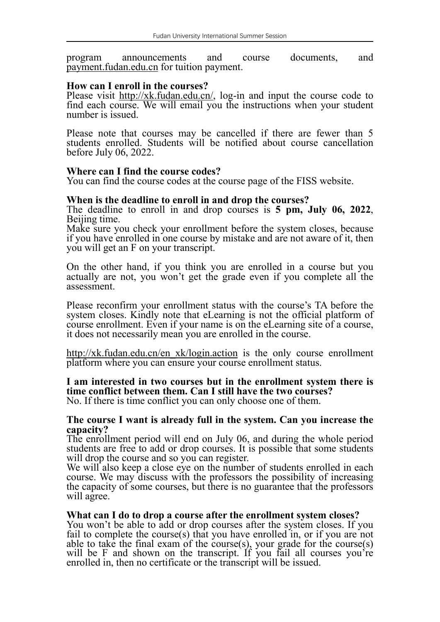program announcements and course documents, and payment.fudan.edu.cn for tuition payment.

#### **How can I enroll in the courses?**

Please visit [http://xk.fudan.edu.cn/](http://xk.fudan.edu.cn/en_xk/login.action), log-in and input the course code to find each course. We will email you the instructions when your student number is issued.

Please note that courses may be cancelled if there are fewer than 5 students enrolled. Students will be notified about course cancellation before July 06, 2022.

#### **Where can I find the course codes?**

You can find the course codes at the course page of the FISS website.

**When is the deadline to enroll in and drop the courses?** Beijing time.<br>Make sure you check your enrollment before the system closes, because

if you have enrolled in one course by mistake and are not aware of it, then you will get an F on your transcript.

On the other hand, if you think you are enrolled in a course but you actually are not, you won't get the grade even if you complete all the assessment.

Please reconfirm your enrollment status with the course's TA before the system closes. Kindly note that eLearning is not the official platform of course enrollment. Even if your name is on the eLearning site of <sup>a</sup> course, it does not necessarily mean you are enrolled in the course.

[http://xk.fudan.edu.cn/en\\_xk/login.action](http://xk.fudan.edu.cn/en_xk/login.action) is the only course enrollment platform where you can ensure your course enrollment status.

### **I am interested in two courses but in the enrollment system there is time conflict between them. Can I still have the two courses?**

No. If there is time conflict you can only choose one of them.

#### **The course I want is already full in the system. Can you increase the capacity?**

The enrollment period will end on July 06, and during the whole period students are free to add or drop courses. It is possible that some students will drop the course and so you can register.<br>We will also keep a close eye on the number of students enrolled in each

course. We may discuss with the professors the possibility of increasing the capacity of some courses, but there is no guarantee that the professors will agree.

#### **What can I do to drop a course after the enrollment system closes?**

You won't be able to add or drop courses after the system closes. If you fail to complete the course(s) that you have enrolled in, or if you are not able to take the final exam of the course(s), your grade for the course(s) will be F and shown on the transcript. If you fail all courses you're enrolled in, then no certificate or the transcript will be issued.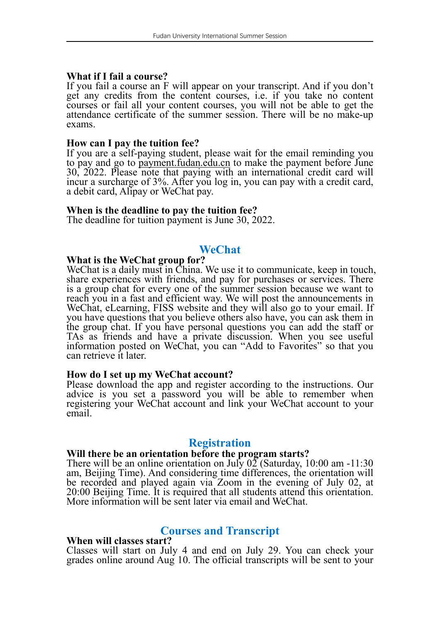#### **What if I fail a course?**

If you fail a course an F will appear on your transcript. And if you don't get any credits from the content courses, i.e. if you take no content courses or fail all your content courses, you will not be able to get the attendance certificate of the summer session. There will be no make-up exams.

#### **How can I pay the tuition fee?**

If you are a self-paying student, please wait for the email reminding you to pay and go to payment.fudan.edu.cn to make the payment before June 30, 2022. Please note that paying with an international credit card will incur <sup>a</sup> surcharge of 3%. After you log in, you can pay with <sup>a</sup> credit card, <sup>a</sup> debit card, Alipay or WeChat pay.

#### **When is the deadline to pay the tuition fee?**

The deadline for tuition payment is June 30, 2022.

# **WeChat**

#### **What is the WeChat group for?**

WeChat is <sup>a</sup> daily must in China. We use it to communicate, keep in touch, share experiences with friends, and pay for purchases or services. There is a group chat for every one of the summer session because we want to reach you in a fast and efficient way. We will post the announcements in WeChat, eLearning, FISS website and they will also go to your email. If you have questions that you believe others also have, you can ask them in the group chat. If you have personal questions you can add the staffor TAs as friends and have a private discussion. When you see useful information posted on WeChat, you can "Add to Favorites" so that you can retrieve it later.

#### **How do I set up my WeChat account?**

Please download the app and register according to the instructions. Our advice is you set a password you will be able to remember when registering your WeChat account and link your WeChat account to your email.

### **Registration**

#### **Will there be an orientation before the program starts?**

There will be an online orientation on July  $0\overline{2}$  (Saturday, 10:00 am -11:30) am, Beijing Time). And considering time differences, the orientation will be recorded and played again via Zoom in the evening of July 02, at 20:00 Beijing Time. It is required that all students attend this orientation. More information will be sent later via email and WeChat.

# **Courses and Transcript**

#### **When will classes start?**

Classes will start on July 4 and end on July 29. You can check your grades online around Aug 10. The official transcripts will be sent to your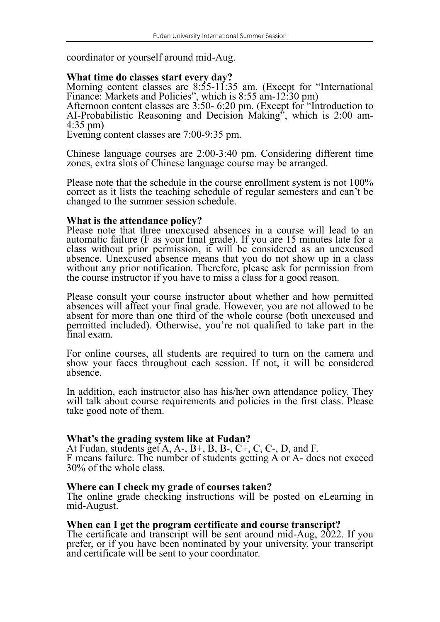coordinator or yourself around mid-Aug.

# **What time do classes start every day?**

Morning content classes are 8:55-11:35 am. (Except for "International Finance: Markets and Policies", which is 8:55 am-12:30 pm)

Afternoon content classes are 3:50- 6:20 pm. (Except for "Introduction to AI-Probabilistic Reasoning and Decision Making", which is 2:00 am- 4:35 pm)

Evening content classes are 7:00-9:35 pm.

Chinese language courses are 2:00-3:40 pm. Considering different time zones, extra slots of Chinese language course may be arranged.

Please note that the schedule in the course enrollment system is not 100% correct as it lists the teaching schedule of regular semesters and can't be changed to the summer session schedule.

### **What is the attendance policy?**

Please note that three unexcused absences in a course will lead to an automatic failure (F as your final grade). If you are 15 minutes late for a class without prior permission, it will be considered as an unexcused absence. Unexcused absence means that you do not show up in a class without any prior notification. Therefore, please ask for permission from the course instructor if you have to miss a class for a good reason.

Please consult your course instructor about whether and how permitted absences will affect your final grade. However, you are not allowed to be absent for more than one third of the whole course (both unexcused and permitted included). Otherwise, you're not qualified to take part in the final exam.

For online courses, all students are required to turn on the camera and show your faces throughout each session. If not, it will be considered absence.

In addition, each instructor also has his/her own attendance policy. They will talk about course requirements and policies in the first class. Please take good note of them.

**What's the grading system like at Fudan?** F means failure. The number of students getting A or A-, does not exceed 30% of the whole class.

#### **Where can I check my grade of courses taken?**

The online grade checking instructions will be posted on eLearning in mid-August.

#### **When can I get the program certificate and course transcript?**

The certificate and transcript will be sent around mid-Aug, 2022. If you prefer, or if you have been nominated by your university, your transcript and certificate will be sent to your coordinator.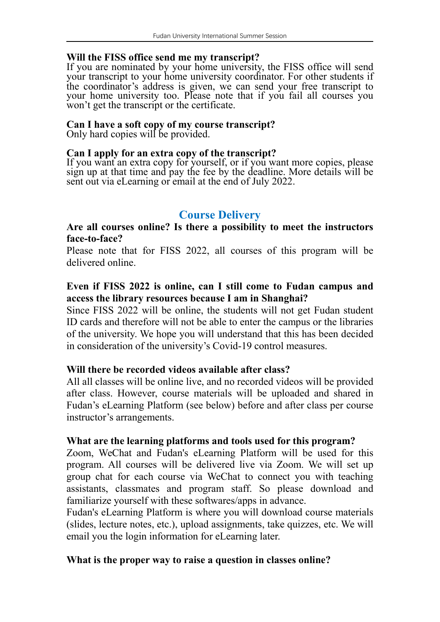## **Will the FISS office send me my transcript?**

If you are nominated by your home university, the FISS office will send your transcript to your home university coordinator. For other students if the coordinator's address is given, we can send your free transcript to your home university too. Please note that if you fail all courses you won't get the transcript or the certificate.

## **Can I have a soft copy of my course transcript?**

Only hard copies will be provided.

### **Can I apply for an extra copy of the transcript?**

If you want an extra copy for yourself, or if you want more copies, please sign up at that time and pay the fee by the deadline. More details will be sent out via eLearning or email at the end of July 2022.

# **Course Delivery**

# **Are all courses online? Is there a possibility to meet the instructors face-to-face?**

Please note that for FISS 2022, all courses of this program will be delivered online.

# **Even if FISS 2022 is online, can I still come to Fudan campus and access the library resources because I am in Shanghai?**

Since FISS 2022 will be online, the students will not get Fudan student ID cards and therefore will not be able to enter the campus orthe libraries of the university. We hope you will understand that this has been decided in consideration of the university's Covid-19 control measures.

# **Will there be recorded videos available after class?**

All all classes will be online live, and no recorded videos will be provided after class. However, course materials will be uploaded and shared in Fudan's eLearning Platform (see below) before and after class per course instructor's arrangements.

# **What are the learning platforms and tools used for this program?**

Zoom, WeChat and Fudan's eLearning Platform will be used for this program. All courses will be delivered live via Zoom. We will set up group chat for each course via WeChat to connect you with teaching assistants, classmates and program staff. So please download and familiarize yourself with these softwares/apps in advance.

Fudan's eLearning Platform is where you will download course materials (slides, lecture notes, etc.), upload assignments, take quizzes, etc. We will email you the login information for eLearning later.

# **What is the proper way to raise a question in classes online?**